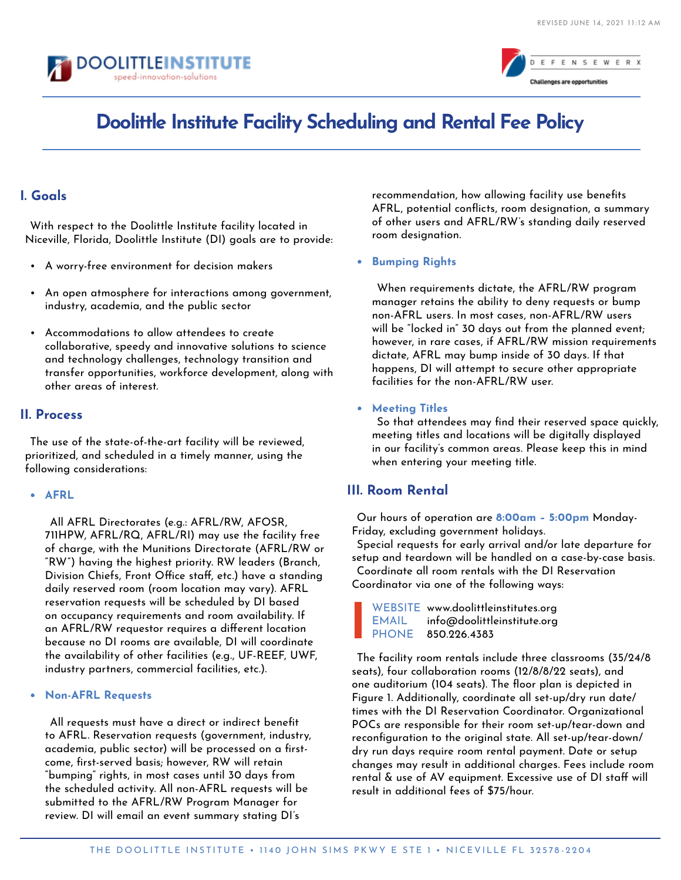



# **Doolittle Institute Facility Scheduling and Rental Fee Policy**

### **I. Goals**

With respect to the Doolittle Institute facility located in Niceville, Florida, Doolittle Institute (DI) goals are to provide:

- A worry-free environment for decision makers
- An open atmosphere for interactions among government, industry, academia, and the public sector
- Accommodations to allow attendees to create collaborative, speedy and innovative solutions to science and technology challenges, technology transition and transfer opportunities, workforce development, along with other areas of interest.

#### **II. Process**

The use of the state-of-the-art facility will be reviewed, prioritized, and scheduled in a timely manner, using the following considerations:

#### **• AFRL**

All AFRL Directorates (e.g.: AFRL/RW, AFOSR, 711HPW, AFRL/RQ, AFRL/RI) may use the facility free of charge, with the Munitions Directorate (AFRL/RW or "RW") having the highest priority. RW leaders (Branch, Division Chiefs, Front Office staff, etc.) have a standing daily reserved room (room location may vary). AFRL reservation requests will be scheduled by DI based on occupancy requirements and room availability. If an AFRL/RW requestor requires a different location because no DI rooms are available, DI will coordinate the availability of other facilities (e.g., UF-REEF, UWF, industry partners, commercial facilities, etc.).

#### **• Non-AFRL Requests**

All requests must have a direct or indirect benefit to AFRL. Reservation requests (government, industry, academia, public sector) will be processed on a firstcome, first-served basis; however, RW will retain "bumping" rights, in most cases until 30 days from the scheduled activity. All non-AFRL requests will be submitted to the AFRL/RW Program Manager for review. DI will email an event summary stating DI's

recommendation, how allowing facility use benefits AFRL, potential conflicts, room designation, a summary of other users and AFRL/RW's standing daily reserved room designation.

**• Bumping Rights**

When requirements dictate, the AFRL/RW program manager retains the ability to deny requests or bump non-AFRL users. In most cases, non-AFRL/RW users will be "locked in" 30 days out from the planned event; however, in rare cases, if AFRL/RW mission requirements dictate, AFRL may bump inside of 30 days. If that happens, DI will attempt to secure other appropriate facilities for the non-AFRL/RW user.

**• Meeting Titles**

So that attendees may find their reserved space quickly, meeting titles and locations will be digitally displayed in our facility's common areas. Please keep this in mind when entering your meeting title.

## **III. Room Rental**

Our hours of operation are **8:00am – 5:00pm** Monday-Friday, excluding government holidays.

Special requests for early arrival and/or late departure for setup and teardown will be handled on a case-by-case basis. Coordinate all room rentals with the DI Reservation Coordinator via one of the following ways:

WEBSITE www.doolittleinstitutes.org EMAIL info@doolittleinstitute.org PHONE 850.226.4383

The facility room rentals include three classrooms (35/24/8 seats), four collaboration rooms (12/8/8/22 seats), and one auditorium (104 seats). The floor plan is depicted in Figure 1. Additionally, coordinate all set-up/dry run date/ times with the DI Reservation Coordinator. Organizational POCs are responsible for their room set-up/tear-down and reconfiguration to the original state. All set-up/tear-down/ dry run days require room rental payment. Date or setup changes may result in additional charges. Fees include room rental & use of AV equipment. Excessive use of DI staff will result in additional fees of \$75/hour.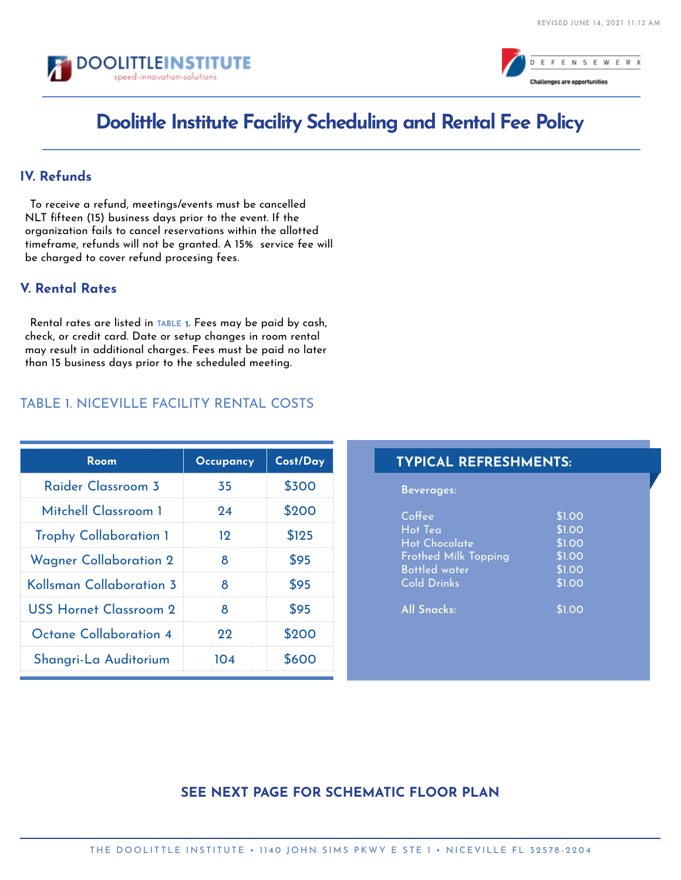



# **Doolittle Institute Facility Scheduling and Rental Fee Policy**

### **IV. Refunds**

To receive a refund, meetings/events must be cancelled NLT fifteen (15) business days prior to the event. If the organization fails to cancel reservations within the allotted timeframe, refunds will not be granted. A 15% service fee will be charged to cover refund procesing fees.

## **V. Rental Rates**

Rental rates are listed in TABLE 1. Fees may be paid by cash,<br>. check, or credit card. Date or setup changes in room rental may result in additional charges. Fees must be paid no later than 15 business days prior to the scheduled meeting.

## TABLE 1. NICEVILLE FACILITY RENTAL COSTS

| Room                          | <b>Occupancy</b> | Cost/Day |
|-------------------------------|------------------|----------|
| Raider Classroom 3            | 35               | \$300    |
| Mitchell Classroom 1          | 94               | \$200    |
| <b>Trophy Collaboration 1</b> | 19               | \$125    |
| <b>Wagner Collaboration 2</b> | 8                | \$95     |
| Kollsman Collaboration 3      | 8                | \$95     |
| USS Hornet Classroom 2        | 8                | \$95     |
| Octane Collaboration 4        | 22               | \$200    |
| Shangri-La Auditorium         | 104              | \$600    |

#### **TYPICAL REFRESHMENTS:**

**Beverages:**

| Coffee                      | \$1.00 |
|-----------------------------|--------|
| Hot Tea                     | \$1.00 |
| Hot Chocolate               | \$1.00 |
| <b>Frothed Milk Topping</b> | \$1.00 |
| <b>Bottled</b> water        | \$1.00 |
| <b>Cold Drinks</b>          | \$1.00 |
| <b>All Snacks:</b>          | \$1.00 |

## **SEE NEXT PAGE FOR SCHEMATIC FLOOR PLAN**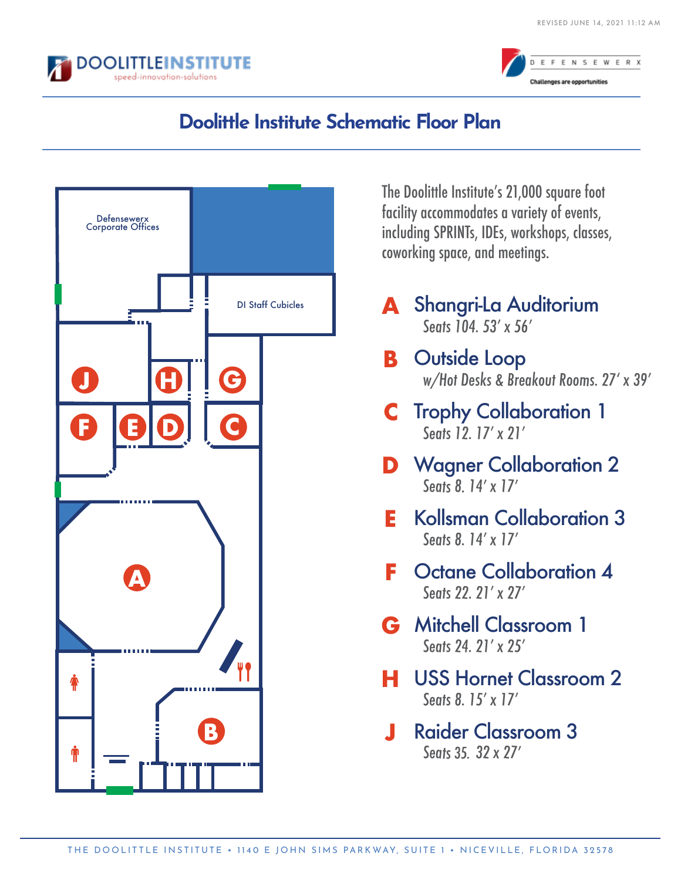



# **Doolittle Institute Schematic Floor Plan**



The Doolittle Institute's 21,000 square foot facility accommodates a variety of events, including SPRINTs, IDEs, workshops, classes, coworking space, and meetings.

- **A** Shangri-La Auditorium Seats 104, 53' x 56'
- **B** Outside Loop w/Hot Desks & Breakout Rooms. 27ʻ <sup>x</sup> 39'
- **C** Trophy Collaboration 1 Seats 12, 17' x 21'
- **D** Wagner Collaboration 2 Seats 8, 14' x 17'
- **E** Kollsman Collaboration 3 Seats 8. 14' x 17'
- **F** Octane Collaboration 4 Seats 22, 21' x 27'
- **G** Mitchell Classroom 1 Seats 24, 21' x 25'
- **H** USS Hornet Classroom 2 Seats 8, 15' x 17'
- **J** Raider Classroom 3 Seats 32. 32 <sup>x</sup> 27' 35.